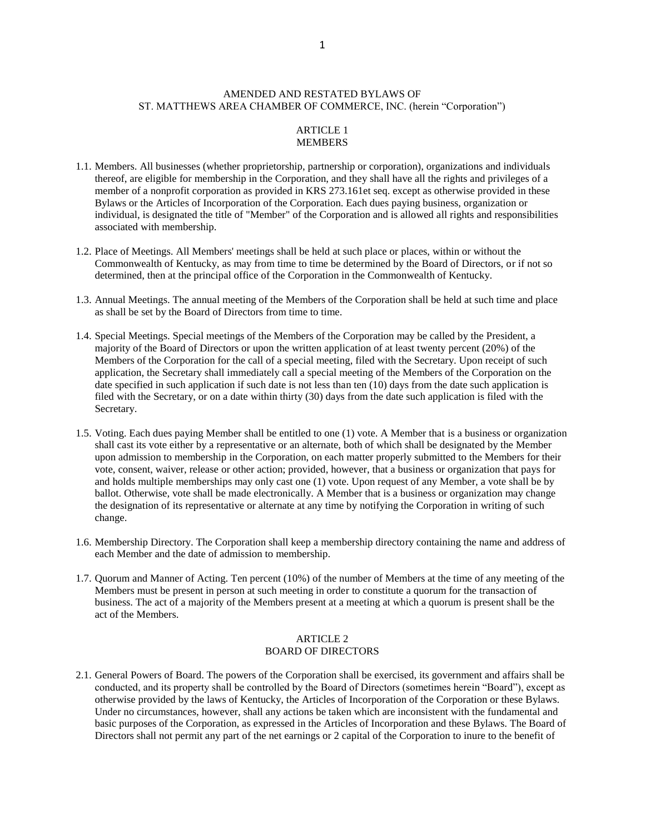## AMENDED AND RESTATED BYLAWS OF ST. MATTHEWS AREA CHAMBER OF COMMERCE, INC. (herein "Corporation")

# ARTICLE 1 MEMBERS

- 1.1. Members. All businesses (whether proprietorship, partnership or corporation), organizations and individuals thereof, are eligible for membership in the Corporation, and they shall have all the rights and privileges of a member of a nonprofit corporation as provided in KRS 273.161et seq. except as otherwise provided in these Bylaws or the Articles of Incorporation of the Corporation. Each dues paying business, organization or individual, is designated the title of "Member" of the Corporation and is allowed all rights and responsibilities associated with membership.
- 1.2. Place of Meetings. All Members' meetings shall be held at such place or places, within or without the Commonwealth of Kentucky, as may from time to time be determined by the Board of Directors, or if not so determined, then at the principal office of the Corporation in the Commonwealth of Kentucky.
- 1.3. Annual Meetings. The annual meeting of the Members of the Corporation shall be held at such time and place as shall be set by the Board of Directors from time to time.
- 1.4. Special Meetings. Special meetings of the Members of the Corporation may be called by the President, a majority of the Board of Directors or upon the written application of at least twenty percent (20%) of the Members of the Corporation for the call of a special meeting, filed with the Secretary. Upon receipt of such application, the Secretary shall immediately call a special meeting of the Members of the Corporation on the date specified in such application if such date is not less than ten (10) days from the date such application is filed with the Secretary, or on a date within thirty (30) days from the date such application is filed with the Secretary.
- 1.5. Voting. Each dues paying Member shall be entitled to one (1) vote. A Member that is a business or organization shall cast its vote either by a representative or an alternate, both of which shall be designated by the Member upon admission to membership in the Corporation, on each matter properly submitted to the Members for their vote, consent, waiver, release or other action; provided, however, that a business or organization that pays for and holds multiple memberships may only cast one (1) vote. Upon request of any Member, a vote shall be by ballot. Otherwise, vote shall be made electronically. A Member that is a business or organization may change the designation of its representative or alternate at any time by notifying the Corporation in writing of such change.
- 1.6. Membership Directory. The Corporation shall keep a membership directory containing the name and address of each Member and the date of admission to membership.
- 1.7. Quorum and Manner of Acting. Ten percent (10%) of the number of Members at the time of any meeting of the Members must be present in person at such meeting in order to constitute a quorum for the transaction of business. The act of a majority of the Members present at a meeting at which a quorum is present shall be the act of the Members.

## ARTICLE 2 BOARD OF DIRECTORS

2.1. General Powers of Board. The powers of the Corporation shall be exercised, its government and affairs shall be conducted, and its property shall be controlled by the Board of Directors (sometimes herein "Board"), except as otherwise provided by the laws of Kentucky, the Articles of Incorporation of the Corporation or these Bylaws. Under no circumstances, however, shall any actions be taken which are inconsistent with the fundamental and basic purposes of the Corporation, as expressed in the Articles of Incorporation and these Bylaws. The Board of Directors shall not permit any part of the net earnings or 2 capital of the Corporation to inure to the benefit of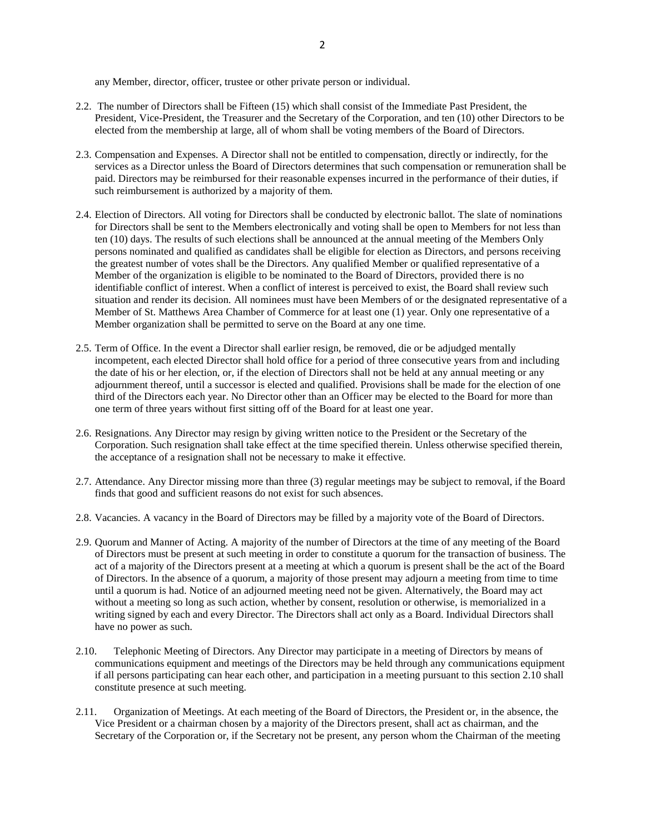any Member, director, officer, trustee or other private person or individual.

- 2.2. The number of Directors shall be Fifteen (15) which shall consist of the Immediate Past President, the President, Vice-President, the Treasurer and the Secretary of the Corporation, and ten (10) other Directors to be elected from the membership at large, all of whom shall be voting members of the Board of Directors.
- 2.3. Compensation and Expenses. A Director shall not be entitled to compensation, directly or indirectly, for the services as a Director unless the Board of Directors determines that such compensation or remuneration shall be paid. Directors may be reimbursed for their reasonable expenses incurred in the performance of their duties, if such reimbursement is authorized by a majority of them.
- 2.4. Election of Directors. All voting for Directors shall be conducted by electronic ballot. The slate of nominations for Directors shall be sent to the Members electronically and voting shall be open to Members for not less than ten (10) days. The results of such elections shall be announced at the annual meeting of the Members Only persons nominated and qualified as candidates shall be eligible for election as Directors, and persons receiving the greatest number of votes shall be the Directors. Any qualified Member or qualified representative of a Member of the organization is eligible to be nominated to the Board of Directors, provided there is no identifiable conflict of interest. When a conflict of interest is perceived to exist, the Board shall review such situation and render its decision. All nominees must have been Members of or the designated representative of a Member of St. Matthews Area Chamber of Commerce for at least one (1) year. Only one representative of a Member organization shall be permitted to serve on the Board at any one time.
- 2.5. Term of Office. In the event a Director shall earlier resign, be removed, die or be adjudged mentally incompetent, each elected Director shall hold office for a period of three consecutive years from and including the date of his or her election, or, if the election of Directors shall not be held at any annual meeting or any adjournment thereof, until a successor is elected and qualified. Provisions shall be made for the election of one third of the Directors each year. No Director other than an Officer may be elected to the Board for more than one term of three years without first sitting off of the Board for at least one year.
- 2.6. Resignations. Any Director may resign by giving written notice to the President or the Secretary of the Corporation. Such resignation shall take effect at the time specified therein. Unless otherwise specified therein, the acceptance of a resignation shall not be necessary to make it effective.
- 2.7. Attendance. Any Director missing more than three (3) regular meetings may be subject to removal, if the Board finds that good and sufficient reasons do not exist for such absences.
- 2.8. Vacancies. A vacancy in the Board of Directors may be filled by a majority vote of the Board of Directors.
- 2.9. Quorum and Manner of Acting. A majority of the number of Directors at the time of any meeting of the Board of Directors must be present at such meeting in order to constitute a quorum for the transaction of business. The act of a majority of the Directors present at a meeting at which a quorum is present shall be the act of the Board of Directors. In the absence of a quorum, a majority of those present may adjourn a meeting from time to time until a quorum is had. Notice of an adjourned meeting need not be given. Alternatively, the Board may act without a meeting so long as such action, whether by consent, resolution or otherwise, is memorialized in a writing signed by each and every Director. The Directors shall act only as a Board. Individual Directors shall have no power as such.
- 2.10. Telephonic Meeting of Directors. Any Director may participate in a meeting of Directors by means of communications equipment and meetings of the Directors may be held through any communications equipment if all persons participating can hear each other, and participation in a meeting pursuant to this section 2.10 shall constitute presence at such meeting.
- 2.11. Organization of Meetings. At each meeting of the Board of Directors, the President or, in the absence, the Vice President or a chairman chosen by a majority of the Directors present, shall act as chairman, and the Secretary of the Corporation or, if the Secretary not be present, any person whom the Chairman of the meeting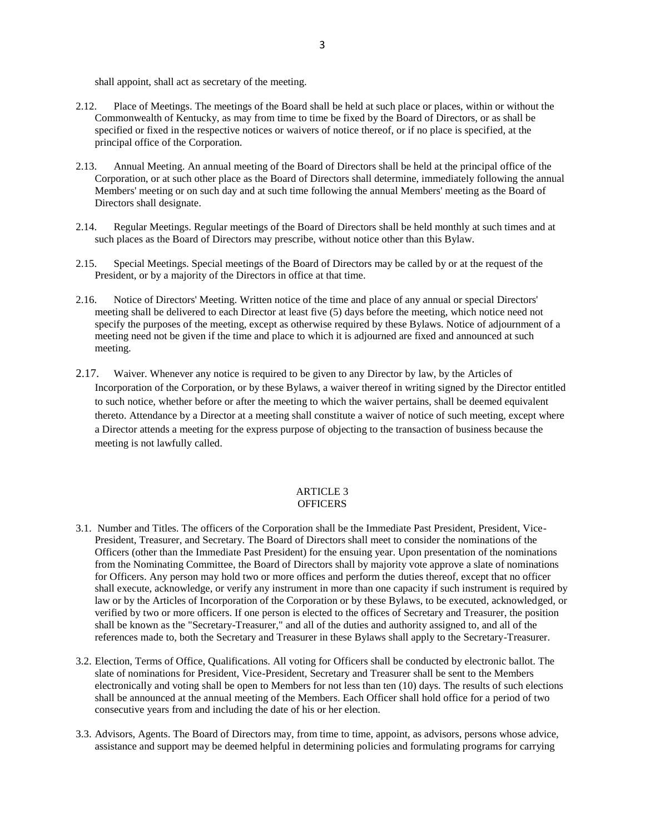shall appoint, shall act as secretary of the meeting.

- 2.12. Place of Meetings. The meetings of the Board shall be held at such place or places, within or without the Commonwealth of Kentucky, as may from time to time be fixed by the Board of Directors, or as shall be specified or fixed in the respective notices or waivers of notice thereof, or if no place is specified, at the principal office of the Corporation.
- 2.13. Annual Meeting. An annual meeting of the Board of Directors shall be held at the principal office of the Corporation, or at such other place as the Board of Directors shall determine, immediately following the annual Members' meeting or on such day and at such time following the annual Members' meeting as the Board of Directors shall designate.
- 2.14. Regular Meetings. Regular meetings of the Board of Directors shall be held monthly at such times and at such places as the Board of Directors may prescribe, without notice other than this Bylaw.
- 2.15. Special Meetings. Special meetings of the Board of Directors may be called by or at the request of the President, or by a majority of the Directors in office at that time.
- 2.16. Notice of Directors' Meeting. Written notice of the time and place of any annual or special Directors' meeting shall be delivered to each Director at least five (5) days before the meeting, which notice need not specify the purposes of the meeting, except as otherwise required by these Bylaws. Notice of adjournment of a meeting need not be given if the time and place to which it is adjourned are fixed and announced at such meeting.
- 2.17. Waiver. Whenever any notice is required to be given to any Director by law, by the Articles of Incorporation of the Corporation, or by these Bylaws, a waiver thereof in writing signed by the Director entitled to such notice, whether before or after the meeting to which the waiver pertains, shall be deemed equivalent thereto. Attendance by a Director at a meeting shall constitute a waiver of notice of such meeting, except where a Director attends a meeting for the express purpose of objecting to the transaction of business because the meeting is not lawfully called.

#### ARTICLE 3 **OFFICERS**

- 3.1. Number and Titles. The officers of the Corporation shall be the Immediate Past President, President, Vice-President, Treasurer, and Secretary. The Board of Directors shall meet to consider the nominations of the Officers (other than the Immediate Past President) for the ensuing year. Upon presentation of the nominations from the Nominating Committee, the Board of Directors shall by majority vote approve a slate of nominations for Officers. Any person may hold two or more offices and perform the duties thereof, except that no officer shall execute, acknowledge, or verify any instrument in more than one capacity if such instrument is required by law or by the Articles of Incorporation of the Corporation or by these Bylaws, to be executed, acknowledged, or verified by two or more officers. If one person is elected to the offices of Secretary and Treasurer, the position shall be known as the "Secretary-Treasurer," and all of the duties and authority assigned to, and all of the references made to, both the Secretary and Treasurer in these Bylaws shall apply to the Secretary-Treasurer.
- 3.2. Election, Terms of Office, Qualifications. All voting for Officers shall be conducted by electronic ballot. The slate of nominations for President, Vice-President, Secretary and Treasurer shall be sent to the Members electronically and voting shall be open to Members for not less than ten (10) days. The results of such elections shall be announced at the annual meeting of the Members. Each Officer shall hold office for a period of two consecutive years from and including the date of his or her election.
- 3.3. Advisors, Agents. The Board of Directors may, from time to time, appoint, as advisors, persons whose advice, assistance and support may be deemed helpful in determining policies and formulating programs for carrying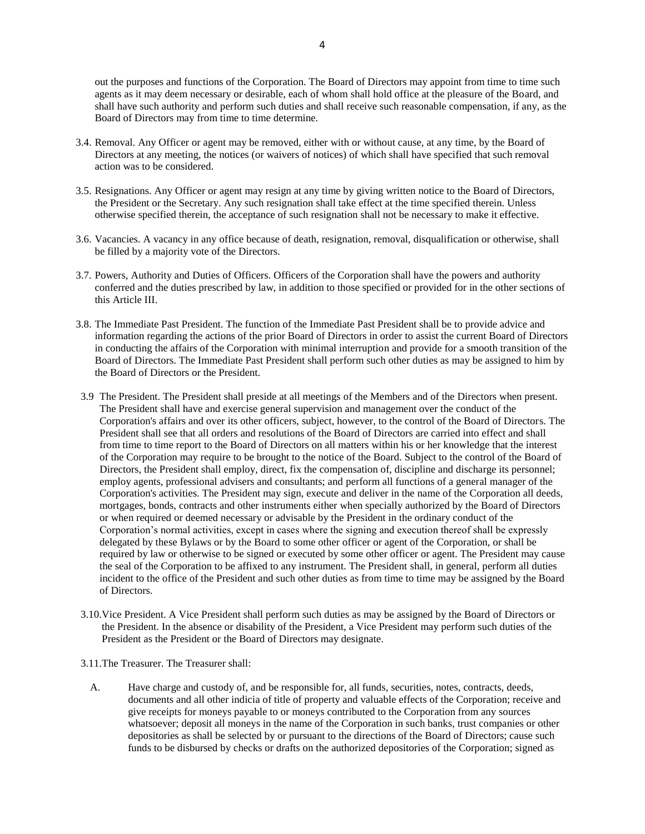out the purposes and functions of the Corporation. The Board of Directors may appoint from time to time such agents as it may deem necessary or desirable, each of whom shall hold office at the pleasure of the Board, and shall have such authority and perform such duties and shall receive such reasonable compensation, if any, as the Board of Directors may from time to time determine.

- 3.4. Removal. Any Officer or agent may be removed, either with or without cause, at any time, by the Board of Directors at any meeting, the notices (or waivers of notices) of which shall have specified that such removal action was to be considered.
- 3.5. Resignations. Any Officer or agent may resign at any time by giving written notice to the Board of Directors, the President or the Secretary. Any such resignation shall take effect at the time specified therein. Unless otherwise specified therein, the acceptance of such resignation shall not be necessary to make it effective.
- 3.6. Vacancies. A vacancy in any office because of death, resignation, removal, disqualification or otherwise, shall be filled by a majority vote of the Directors.
- 3.7. Powers, Authority and Duties of Officers. Officers of the Corporation shall have the powers and authority conferred and the duties prescribed by law, in addition to those specified or provided for in the other sections of this Article III.
- 3.8. The Immediate Past President. The function of the Immediate Past President shall be to provide advice and information regarding the actions of the prior Board of Directors in order to assist the current Board of Directors in conducting the affairs of the Corporation with minimal interruption and provide for a smooth transition of the Board of Directors. The Immediate Past President shall perform such other duties as may be assigned to him by the Board of Directors or the President.
- 3.9 The President. The President shall preside at all meetings of the Members and of the Directors when present. The President shall have and exercise general supervision and management over the conduct of the Corporation's affairs and over its other officers, subject, however, to the control of the Board of Directors. The President shall see that all orders and resolutions of the Board of Directors are carried into effect and shall from time to time report to the Board of Directors on all matters within his or her knowledge that the interest of the Corporation may require to be brought to the notice of the Board. Subject to the control of the Board of Directors, the President shall employ, direct, fix the compensation of, discipline and discharge its personnel; employ agents, professional advisers and consultants; and perform all functions of a general manager of the Corporation's activities. The President may sign, execute and deliver in the name of the Corporation all deeds, mortgages, bonds, contracts and other instruments either when specially authorized by the Board of Directors or when required or deemed necessary or advisable by the President in the ordinary conduct of the Corporation's normal activities, except in cases where the signing and execution thereof shall be expressly delegated by these Bylaws or by the Board to some other officer or agent of the Corporation, or shall be required by law or otherwise to be signed or executed by some other officer or agent. The President may cause the seal of the Corporation to be affixed to any instrument. The President shall, in general, perform all duties incident to the office of the President and such other duties as from time to time may be assigned by the Board of Directors.
- 3.10.Vice President. A Vice President shall perform such duties as may be assigned by the Board of Directors or the President. In the absence or disability of the President, a Vice President may perform such duties of the President as the President or the Board of Directors may designate.
- 3.11.The Treasurer. The Treasurer shall:
	- A. Have charge and custody of, and be responsible for, all funds, securities, notes, contracts, deeds, documents and all other indicia of title of property and valuable effects of the Corporation; receive and give receipts for moneys payable to or moneys contributed to the Corporation from any sources whatsoever; deposit all moneys in the name of the Corporation in such banks, trust companies or other depositories as shall be selected by or pursuant to the directions of the Board of Directors; cause such funds to be disbursed by checks or drafts on the authorized depositories of the Corporation; signed as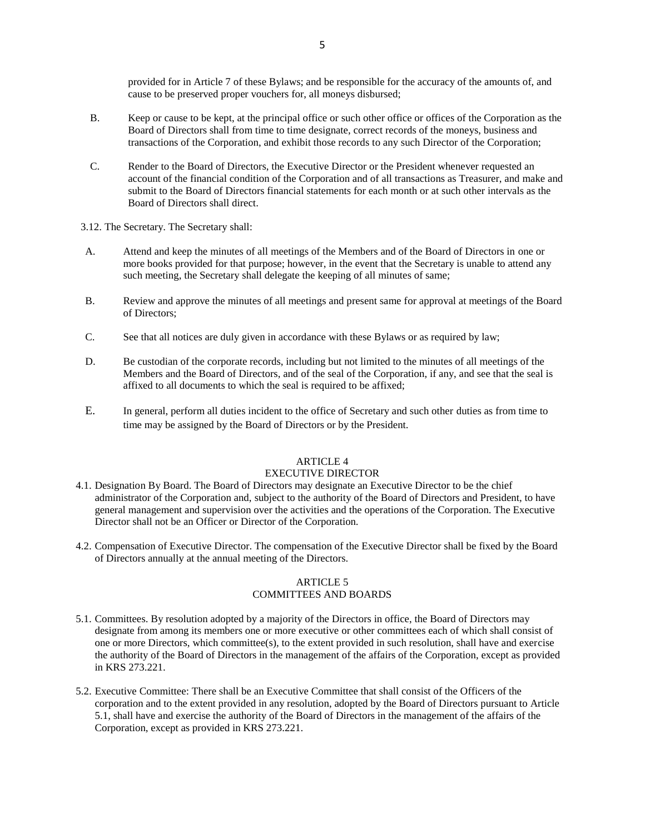provided for in Article 7 of these Bylaws; and be responsible for the accuracy of the amounts of, and cause to be preserved proper vouchers for, all moneys disbursed;

- B. Keep or cause to be kept, at the principal office or such other office or offices of the Corporation as the Board of Directors shall from time to time designate, correct records of the moneys, business and transactions of the Corporation, and exhibit those records to any such Director of the Corporation;
- C. Render to the Board of Directors, the Executive Director or the President whenever requested an account of the financial condition of the Corporation and of all transactions as Treasurer, and make and submit to the Board of Directors financial statements for each month or at such other intervals as the Board of Directors shall direct.
- 3.12. The Secretary. The Secretary shall:
- A. Attend and keep the minutes of all meetings of the Members and of the Board of Directors in one or more books provided for that purpose; however, in the event that the Secretary is unable to attend any such meeting, the Secretary shall delegate the keeping of all minutes of same;
- B. Review and approve the minutes of all meetings and present same for approval at meetings of the Board of Directors;
- C. See that all notices are duly given in accordance with these Bylaws or as required by law;
- D. Be custodian of the corporate records, including but not limited to the minutes of all meetings of the Members and the Board of Directors, and of the seal of the Corporation, if any, and see that the seal is affixed to all documents to which the seal is required to be affixed;
- E. In general, perform all duties incident to the office of Secretary and such other duties as from time to time may be assigned by the Board of Directors or by the President.

# ARTICLE 4

# EXECUTIVE DIRECTOR

- 4.1. Designation By Board. The Board of Directors may designate an Executive Director to be the chief administrator of the Corporation and, subject to the authority of the Board of Directors and President, to have general management and supervision over the activities and the operations of the Corporation. The Executive Director shall not be an Officer or Director of the Corporation.
- 4.2. Compensation of Executive Director. The compensation of the Executive Director shall be fixed by the Board of Directors annually at the annual meeting of the Directors.

### ARTICLE 5 COMMITTEES AND BOARDS

- 5.1. Committees. By resolution adopted by a majority of the Directors in office, the Board of Directors may designate from among its members one or more executive or other committees each of which shall consist of one or more Directors, which committee(s), to the extent provided in such resolution, shall have and exercise the authority of the Board of Directors in the management of the affairs of the Corporation, except as provided in KRS 273.221.
- 5.2. Executive Committee: There shall be an Executive Committee that shall consist of the Officers of the corporation and to the extent provided in any resolution, adopted by the Board of Directors pursuant to Article 5.1, shall have and exercise the authority of the Board of Directors in the management of the affairs of the Corporation, except as provided in KRS 273.221.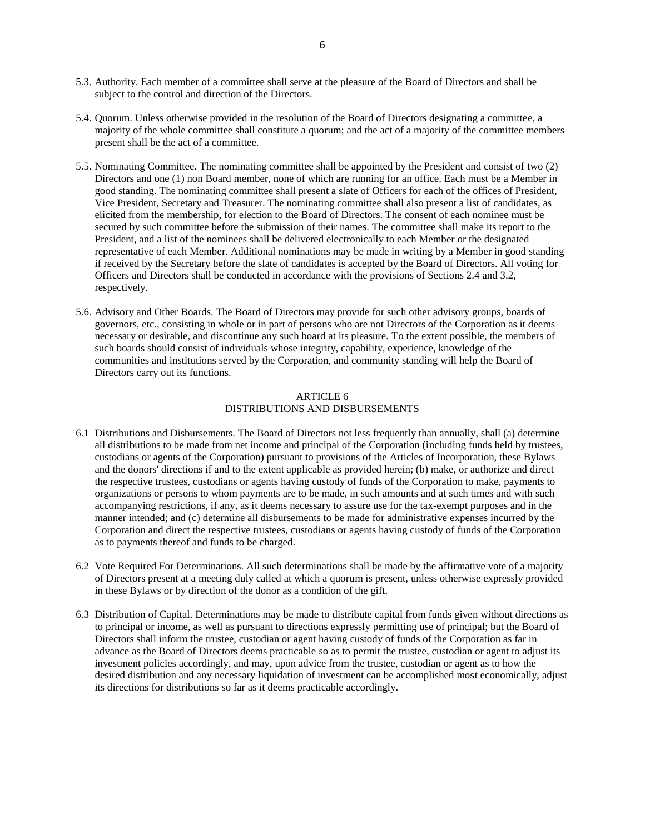- 5.3. Authority. Each member of a committee shall serve at the pleasure of the Board of Directors and shall be subject to the control and direction of the Directors.
- 5.4. Quorum. Unless otherwise provided in the resolution of the Board of Directors designating a committee, a majority of the whole committee shall constitute a quorum; and the act of a majority of the committee members present shall be the act of a committee.
- 5.5. Nominating Committee. The nominating committee shall be appointed by the President and consist of two (2) Directors and one (1) non Board member, none of which are running for an office. Each must be a Member in good standing. The nominating committee shall present a slate of Officers for each of the offices of President, Vice President, Secretary and Treasurer. The nominating committee shall also present a list of candidates, as elicited from the membership, for election to the Board of Directors. The consent of each nominee must be secured by such committee before the submission of their names. The committee shall make its report to the President, and a list of the nominees shall be delivered electronically to each Member or the designated representative of each Member. Additional nominations may be made in writing by a Member in good standing if received by the Secretary before the slate of candidates is accepted by the Board of Directors. All voting for Officers and Directors shall be conducted in accordance with the provisions of Sections 2.4 and 3.2, respectively.
- 5.6. Advisory and Other Boards. The Board of Directors may provide for such other advisory groups, boards of governors, etc., consisting in whole or in part of persons who are not Directors of the Corporation as it deems necessary or desirable, and discontinue any such board at its pleasure. To the extent possible, the members of such boards should consist of individuals whose integrity, capability, experience, knowledge of the communities and institutions served by the Corporation, and community standing will help the Board of Directors carry out its functions.

### ARTICLE 6 DISTRIBUTIONS AND DISBURSEMENTS

- 6.1 Distributions and Disbursements. The Board of Directors not less frequently than annually, shall (a) determine all distributions to be made from net income and principal of the Corporation (including funds held by trustees, custodians or agents of the Corporation) pursuant to provisions of the Articles of Incorporation, these Bylaws and the donors' directions if and to the extent applicable as provided herein; (b) make, or authorize and direct the respective trustees, custodians or agents having custody of funds of the Corporation to make, payments to organizations or persons to whom payments are to be made, in such amounts and at such times and with such accompanying restrictions, if any, as it deems necessary to assure use for the tax-exempt purposes and in the manner intended; and (c) determine all disbursements to be made for administrative expenses incurred by the Corporation and direct the respective trustees, custodians or agents having custody of funds of the Corporation as to payments thereof and funds to be charged.
- 6.2 Vote Required For Determinations. All such determinations shall be made by the affirmative vote of a majority of Directors present at a meeting duly called at which a quorum is present, unless otherwise expressly provided in these Bylaws or by direction of the donor as a condition of the gift.
- 6.3 Distribution of Capital. Determinations may be made to distribute capital from funds given without directions as to principal or income, as well as pursuant to directions expressly permitting use of principal; but the Board of Directors shall inform the trustee, custodian or agent having custody of funds of the Corporation as far in advance as the Board of Directors deems practicable so as to permit the trustee, custodian or agent to adjust its investment policies accordingly, and may, upon advice from the trustee, custodian or agent as to how the desired distribution and any necessary liquidation of investment can be accomplished most economically, adjust its directions for distributions so far as it deems practicable accordingly.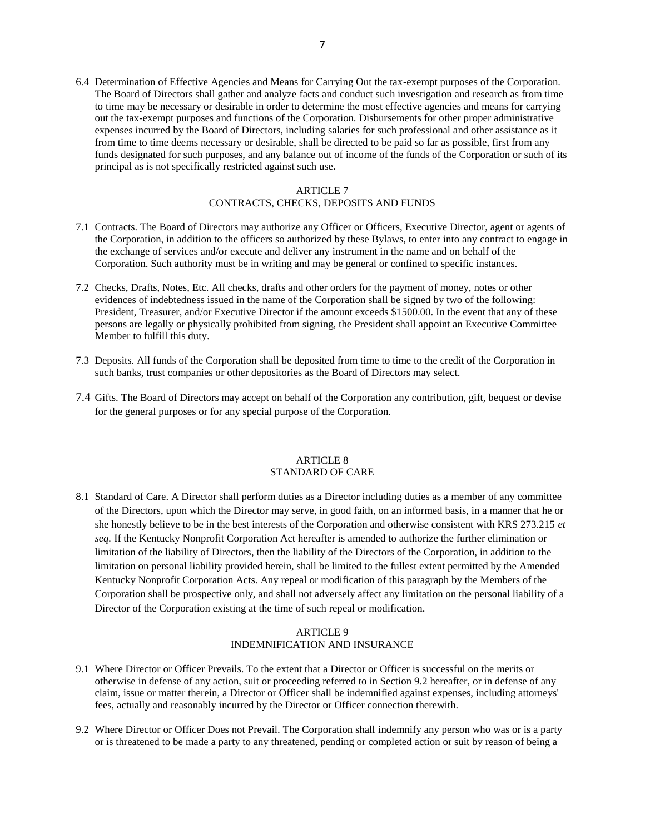6.4 Determination of Effective Agencies and Means for Carrying Out the tax-exempt purposes of the Corporation. The Board of Directors shall gather and analyze facts and conduct such investigation and research as from time to time may be necessary or desirable in order to determine the most effective agencies and means for carrying out the tax-exempt purposes and functions of the Corporation. Disbursements for other proper administrative expenses incurred by the Board of Directors, including salaries for such professional and other assistance as it from time to time deems necessary or desirable, shall be directed to be paid so far as possible, first from any funds designated for such purposes, and any balance out of income of the funds of the Corporation or such of its principal as is not specifically restricted against such use.

#### ARTICLE 7 CONTRACTS, CHECKS, DEPOSITS AND FUNDS

- 7.1 Contracts. The Board of Directors may authorize any Officer or Officers, Executive Director, agent or agents of the Corporation, in addition to the officers so authorized by these Bylaws, to enter into any contract to engage in the exchange of services and/or execute and deliver any instrument in the name and on behalf of the Corporation. Such authority must be in writing and may be general or confined to specific instances.
- 7.2 Checks, Drafts, Notes, Etc. All checks, drafts and other orders for the payment of money, notes or other evidences of indebtedness issued in the name of the Corporation shall be signed by two of the following: President, Treasurer, and/or Executive Director if the amount exceeds \$1500.00. In the event that any of these persons are legally or physically prohibited from signing, the President shall appoint an Executive Committee Member to fulfill this duty.
- 7.3 Deposits. All funds of the Corporation shall be deposited from time to time to the credit of the Corporation in such banks, trust companies or other depositories as the Board of Directors may select.
- 7.4 Gifts. The Board of Directors may accept on behalf of the Corporation any contribution, gift, bequest or devise for the general purposes or for any special purpose of the Corporation.

### ARTICLE 8 STANDARD OF CARE

8.1 Standard of Care. A Director shall perform duties as a Director including duties as a member of any committee of the Directors, upon which the Director may serve, in good faith, on an informed basis, in a manner that he or she honestly believe to be in the best interests of the Corporation and otherwise consistent with KRS 273.215 *et seq.* If the Kentucky Nonprofit Corporation Act hereafter is amended to authorize the further elimination or limitation of the liability of Directors, then the liability of the Directors of the Corporation, in addition to the limitation on personal liability provided herein, shall be limited to the fullest extent permitted by the Amended Kentucky Nonprofit Corporation Acts. Any repeal or modification of this paragraph by the Members of the Corporation shall be prospective only, and shall not adversely affect any limitation on the personal liability of a Director of the Corporation existing at the time of such repeal or modification.

# ARTICLE 9 INDEMNIFICATION AND INSURANCE

- 9.1 Where Director or Officer Prevails. To the extent that a Director or Officer is successful on the merits or otherwise in defense of any action, suit or proceeding referred to in Section 9.2 hereafter, or in defense of any claim, issue or matter therein, a Director or Officer shall be indemnified against expenses, including attorneys' fees, actually and reasonably incurred by the Director or Officer connection therewith.
- 9.2 Where Director or Officer Does not Prevail. The Corporation shall indemnify any person who was or is a party or is threatened to be made a party to any threatened, pending or completed action or suit by reason of being a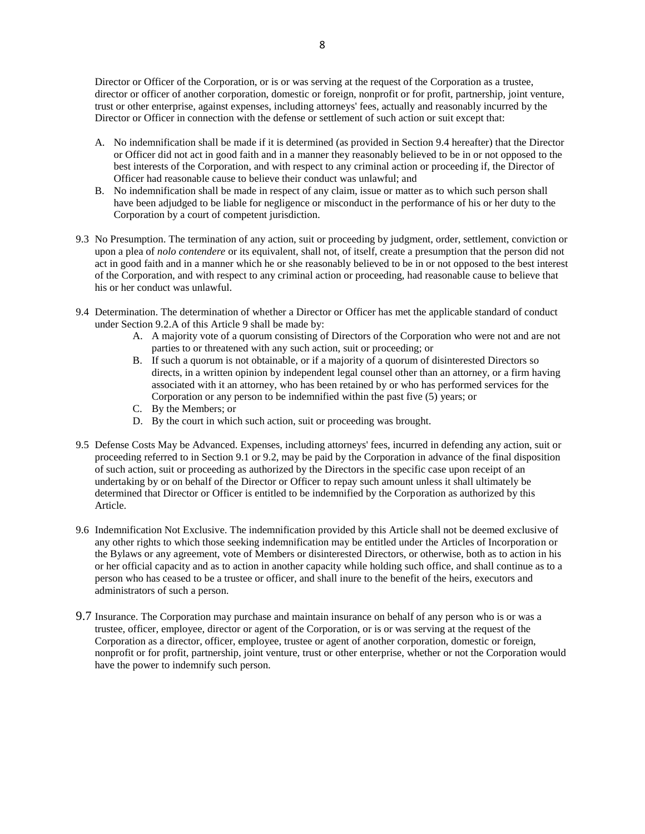Director or Officer of the Corporation, or is or was serving at the request of the Corporation as a trustee, director or officer of another corporation, domestic or foreign, nonprofit or for profit, partnership, joint venture, trust or other enterprise, against expenses, including attorneys' fees, actually and reasonably incurred by the Director or Officer in connection with the defense or settlement of such action or suit except that:

- A. No indemnification shall be made if it is determined (as provided in Section 9.4 hereafter) that the Director or Officer did not act in good faith and in a manner they reasonably believed to be in or not opposed to the best interests of the Corporation, and with respect to any criminal action or proceeding if, the Director of Officer had reasonable cause to believe their conduct was unlawful; and
- B. No indemnification shall be made in respect of any claim, issue or matter as to which such person shall have been adjudged to be liable for negligence or misconduct in the performance of his or her duty to the Corporation by a court of competent jurisdiction.
- 9.3 No Presumption. The termination of any action, suit or proceeding by judgment, order, settlement, conviction or upon a plea of *nolo contendere* or its equivalent, shall not, of itself, create a presumption that the person did not act in good faith and in a manner which he or she reasonably believed to be in or not opposed to the best interest of the Corporation, and with respect to any criminal action or proceeding, had reasonable cause to believe that his or her conduct was unlawful.
- 9.4 Determination. The determination of whether a Director or Officer has met the applicable standard of conduct under Section 9.2.A of this Article 9 shall be made by:
	- A. A majority vote of a quorum consisting of Directors of the Corporation who were not and are not parties to or threatened with any such action, suit or proceeding; or
	- B. If such a quorum is not obtainable, or if a majority of a quorum of disinterested Directors so directs, in a written opinion by independent legal counsel other than an attorney, or a firm having associated with it an attorney, who has been retained by or who has performed services for the Corporation or any person to be indemnified within the past five (5) years; or
	- C. By the Members; or
	- D. By the court in which such action, suit or proceeding was brought.
- 9.5 Defense Costs May be Advanced. Expenses, including attorneys' fees, incurred in defending any action, suit or proceeding referred to in Section 9.1 or 9.2, may be paid by the Corporation in advance of the final disposition of such action, suit or proceeding as authorized by the Directors in the specific case upon receipt of an undertaking by or on behalf of the Director or Officer to repay such amount unless it shall ultimately be determined that Director or Officer is entitled to be indemnified by the Corporation as authorized by this Article.
- 9.6 Indemnification Not Exclusive. The indemnification provided by this Article shall not be deemed exclusive of any other rights to which those seeking indemnification may be entitled under the Articles of Incorporation or the Bylaws or any agreement, vote of Members or disinterested Directors, or otherwise, both as to action in his or her official capacity and as to action in another capacity while holding such office, and shall continue as to a person who has ceased to be a trustee or officer, and shall inure to the benefit of the heirs, executors and administrators of such a person.
- 9.7 Insurance. The Corporation may purchase and maintain insurance on behalf of any person who is or was a trustee, officer, employee, director or agent of the Corporation, or is or was serving at the request of the Corporation as a director, officer, employee, trustee or agent of another corporation, domestic or foreign, nonprofit or for profit, partnership, joint venture, trust or other enterprise, whether or not the Corporation would have the power to indemnify such person.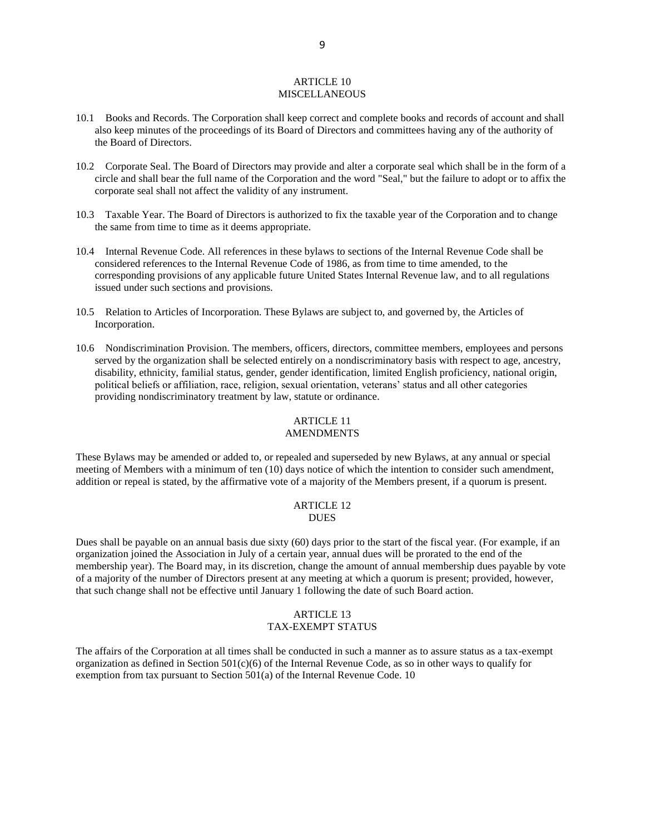#### ARTICLE 10 MISCELLANEOUS

- 10.1 Books and Records. The Corporation shall keep correct and complete books and records of account and shall also keep minutes of the proceedings of its Board of Directors and committees having any of the authority of the Board of Directors.
- 10.2 Corporate Seal. The Board of Directors may provide and alter a corporate seal which shall be in the form of a circle and shall bear the full name of the Corporation and the word "Seal," but the failure to adopt or to affix the corporate seal shall not affect the validity of any instrument.
- 10.3 Taxable Year. The Board of Directors is authorized to fix the taxable year of the Corporation and to change the same from time to time as it deems appropriate.
- 10.4 Internal Revenue Code. All references in these bylaws to sections of the Internal Revenue Code shall be considered references to the Internal Revenue Code of 1986, as from time to time amended, to the corresponding provisions of any applicable future United States Internal Revenue law, and to all regulations issued under such sections and provisions.
- 10.5 Relation to Articles of Incorporation. These Bylaws are subject to, and governed by, the Articles of Incorporation.
- 10.6 Nondiscrimination Provision. The members, officers, directors, committee members, employees and persons served by the organization shall be selected entirely on a nondiscriminatory basis with respect to age, ancestry, disability, ethnicity, familial status, gender, gender identification, limited English proficiency, national origin, political beliefs or affiliation, race, religion, sexual orientation, veterans' status and all other categories providing nondiscriminatory treatment by law, statute or ordinance.

# ARTICLE 11

# AMENDMENTS

These Bylaws may be amended or added to, or repealed and superseded by new Bylaws, at any annual or special meeting of Members with a minimum of ten (10) days notice of which the intention to consider such amendment, addition or repeal is stated, by the affirmative vote of a majority of the Members present, if a quorum is present.

#### ARTICLE 12 **DUES**

Dues shall be payable on an annual basis due sixty (60) days prior to the start of the fiscal year. (For example, if an organization joined the Association in July of a certain year, annual dues will be prorated to the end of the membership year). The Board may, in its discretion, change the amount of annual membership dues payable by vote of a majority of the number of Directors present at any meeting at which a quorum is present; provided, however, that such change shall not be effective until January 1 following the date of such Board action.

## ARTICLE 13 TAX-EXEMPT STATUS

The affairs of the Corporation at all times shall be conducted in such a manner as to assure status as a tax-exempt organization as defined in Section  $501(c)(6)$  of the Internal Revenue Code, as so in other ways to qualify for exemption from tax pursuant to Section 501(a) of the Internal Revenue Code. 10